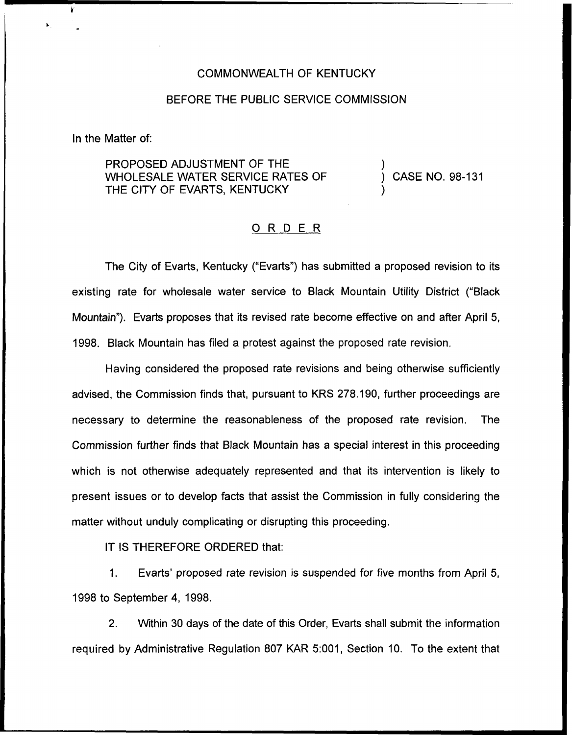## COMMONWEALTH OF KENTUCKY

## BEFORE THE PUBLIC SERVICE COMMISSION

In the Matter of:

PROPOSED ADJUSTMENT OF THE WHOLESALE WATER SERVICE RATES OF THE CITY OF EVARTS, KENTUCKY

) CASE NO. 98-131

)

)

## 0 <sup>R</sup> <sup>D</sup> <sup>E</sup> <sup>R</sup>

The City of Evarts, Kentucky ("Evarts") has submitted a proposed revision to its existing rate for wholesale water service to Black Mountain Utility District ("Black Mountain"). Evarts proposes that its revised rate become effective on and after April 5, 1998. Black Mountain has filed a protest against the proposed rate revision,

Having considered the proposed rate revisions and being otherwise sufficiently advised, the Commission finds that, pursuant to KRS 278.190, further proceedings are necessary to determine the reasonableness of the proposed rate revision. The Commission further finds that Black Mountain has a special interest in this proceeding which is not otherwise adequately represented and that its intervention is likely to present issues or to develop facts that assist the Commission in fully considering the matter without unduly complicating or disrupting this proceeding.

IT IS THEREFORE ORDERED that:

1. Evarts' proposed rate revision is suspended for five months from April 5, 1998 to September 4, 1998.

2. Within 30 days of the date of this Order, Evarts shall submit the information required by Administrative Regulation 807 KAR 5:001, Section 10. To the extent that